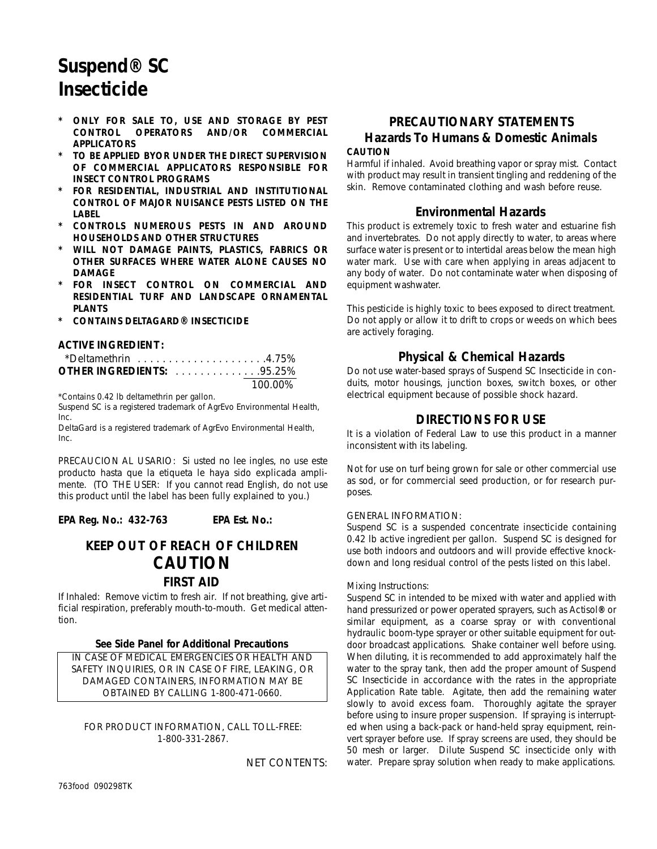# **Suspend® SC Insecticide**

- **ONLY FOR SALE TO, USE AND STORAGE BY PEST** *CONTROL OPERATORS AND/OR COMMERCIAL APPLICATORS*
- *\* TO BE APPLIED BYOR UNDER THE DIRECT SUPERVISION OF COMMERCIAL APPLICATORS RESPONSIBLE FOR INSECT CONTROL PROGRAMS*
- *\* FOR RESIDENTIAL, INDUSTRIAL AND INSTITUTIONAL CONTROL OF MAJOR NUISANCE PESTS LISTED ON THE LABEL*
- *\* CONTROLS NUMEROUS PESTS IN AND AROUND HOUSEHOLDS AND OTHER STRUCTURES*
- *\* WILL NOT DAMAGE PAINTS, PLASTICS, FABRICS OR OTHER SURFACES WHERE WATER ALONE CAUSES NO DAMAGE*
- *FOR INSECT CONTROL ON COMMERCIAL AND* **RESIDENTIAL TURF AND LANDSCAPE ORNAMENTAL** *PLANTS*
- *\* CONTAINS DELTAGARD® INSECTICIDE*

#### **ACTIVE INGREDIENT:**

| $\cdot$ *Deltamethrin 4.75%      |         |
|----------------------------------|---------|
| <b>OTHER INGREDIENTS:</b> 95.25% |         |
|                                  | 100.00% |

\*Contains 0.42 lb deltamethrin per gallon.

Suspend SC is a registered trademark of AgrEvo Environmental Health, Inc.

DeltaGard is a registered trademark of AgrEvo Environmental Health, Inc.

PRECAUCION AL USARIO: Si usted no lee ingles, no use este producto hasta que la etiqueta le haya sido explicada amplimente. (TO THE USER: If you cannot read English, do not use this product until the label has been fully explained to you.)

**EPA Reg. No.: 432-763 EPA Est. No.:** 

# **KEEP OUT OF REACH OF CHILDREN CAUTION FIRST AID**

If Inhaled: Remove victim to fresh air. If not breathing, give artificial respiration, preferably mouth-to-mouth. Get medical attention.

#### **See Side Panel for Additional Precautions**

IN CASE OF MEDICAL EMERGENCIES OR HEALTH AND SAFETY INQUIRIES, OR IN CASE OF FIRE, LEAKING, OR DAMAGED CONTAINERS, INFORMATION MAY BE OBTAINED BY CALLING 1-800-471-0660.

FOR PRODUCT INFORMATION, CALL TOLL-FREE: 1-800-331-2867.

NET CONTENTS:

# **PRECAUTIONARY STATEMENTS Hazards To Humans & Domestic Animals CAUTION**

Harmful if inhaled. Avoid breathing vapor or spray mist. Contact with product may result in transient tingling and reddening of the skin. Remove contaminated clothing and wash before reuse.

### **Environmental Hazards**

This product is extremely toxic to fresh water and estuarine fish and invertebrates. Do not apply directly to water, to areas where surface water is present or to intertidal areas below the mean high water mark. Use with care when applying in areas adjacent to any body of water. Do not contaminate water when disposing of equipment washwater.

This pesticide is highly toxic to bees exposed to direct treatment. Do not apply or allow it to drift to crops or weeds on which bees are actively foraging.

# **Physical & Chemical Hazards**

Do not use water-based sprays of Suspend SC Insecticide in conduits, motor housings, junction boxes, switch boxes, or other electrical equipment because of possible shock hazard.

# **DIRECTIONS FOR USE**

It is a violation of Federal Law to use this product in a manner inconsistent with its labeling.

Not for use on turf being grown for sale or other commercial use as sod, or for commercial seed production, or for research purposes.

#### GENERAL INFORMATION:

Suspend SC is a suspended concentrate insecticide containing 0.42 lb active ingredient per gallon. Suspend SC is designed for use both indoors and outdoors and will provide effective knockdown and long residual control of the pests listed on this label.

#### Mixing Instructions:

Suspend SC in intended to be mixed with water and applied with hand pressurized or power operated sprayers, such as Actisol**®** or similar equipment, as a coarse spray or with conventional hydraulic boom-type sprayer or other suitable equipment for outdoor broadcast applications. Shake container well before using. When diluting, it is recommended to add approximately half the water to the spray tank, then add the proper amount of Suspend SC Insecticide in accordance with the rates in the appropriate Application Rate table. Agitate, then add the remaining water slowly to avoid excess foam. Thoroughly agitate the sprayer before using to insure proper suspension. If spraying is interrupted when using a back-pack or hand-held spray equipment, reinvert sprayer before use. If spray screens are used, they should be 50 mesh or larger. Dilute Suspend SC insecticide only with water. Prepare spray solution when ready to make applications.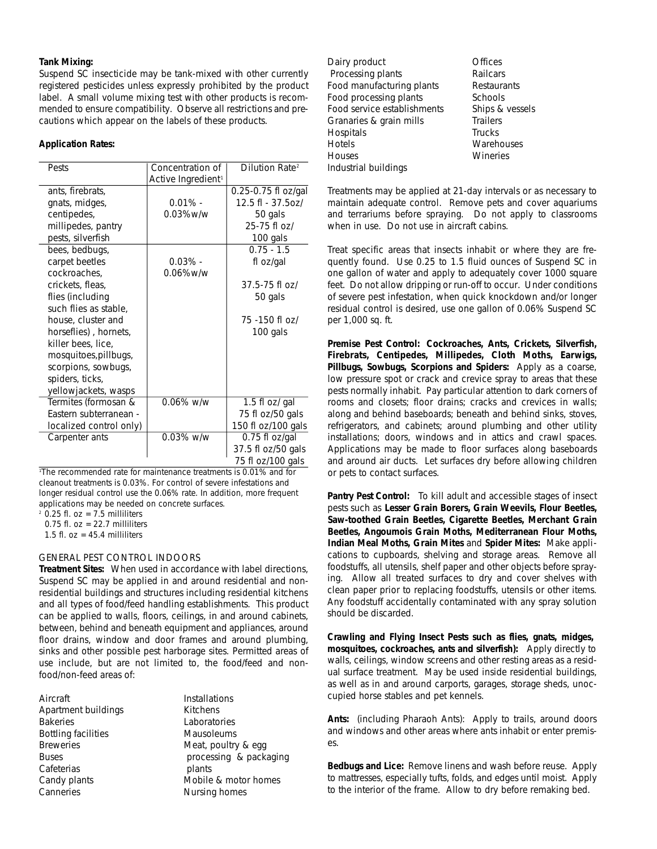#### **Tank Mixing:**

Suspend SC insecticide may be tank-mixed with other currently registered pesticides unless expressly prohibited by the product label. A small volume mixing test with other products is recommended to ensure compatibility. Observe all restrictions and precautions which appear on the labels of these products.

#### **Application Rates:**

| Pests                   | Concentration of               | Dilution Rate <sup>2</sup> |
|-------------------------|--------------------------------|----------------------------|
|                         | Active Ingredient <sup>1</sup> |                            |
| ants, firebrats,        |                                | 0.25-0.75 fl oz/gal        |
| gnats, midges,          | $0.01\%$ -                     | 12.5 fl - 37.5oz/          |
| centipedes,             | $0.03\%$ w/w                   | 50 gals                    |
| millipedes, pantry      |                                | 25-75 fl oz/               |
| pests, silverfish       |                                | 100 gals                   |
| bees, bedbugs,          |                                | $0.75 - 1.5$               |
| carpet beetles          | $0.03\%$ -                     | fl oz/gal                  |
| cockroaches,            | $0.06\%$ w/w                   |                            |
| crickets, fleas,        |                                | 37.5-75 fl oz/             |
| flies (including        |                                | 50 gals                    |
| such flies as stable,   |                                |                            |
| house, cluster and      |                                | 75 - 150 fl oz/            |
| horseflies), hornets,   |                                | 100 gals                   |
| killer bees, lice,      |                                |                            |
| mosquitoes, pillbugs,   |                                |                            |
| scorpions, sowbugs,     |                                |                            |
| spiders, ticks,         |                                |                            |
| yellowjackets, wasps    |                                |                            |
| Termites (formosan &    | $0.06\%$ w/w                   | 1.5 fl oz/ gal             |
| Eastern subterranean -  |                                | 75 fl oz/50 gals           |
| localized control only) |                                | 150 fl oz/100 gals         |
| Carpenter ants          | 0.03% w/w                      | 0.75 fl oz/gal             |
|                         |                                | 37.5 fl oz/50 gals         |
|                         |                                | 75 fl oz/100 gals          |

<sup>1</sup>The recommended rate for maintenance treatments is 0.01% and for cleanout treatments is 0.03%. For control of severe infestations and longer residual control use the 0.06% rate. In addition, more frequent applications may be needed on concrete surfaces.

 $2$  0.25 fl. oz = 7.5 milliliters

0.75 fl.  $oz = 22.7$  milliliters

1.5 fl.  $oz = 45.4$  milliliters

#### GENERAL PEST CONTROL INDOORS

**Treatment Sites:** When used in accordance with label directions, Suspend SC may be applied in and around residential and nonresidential buildings and structures including residential kitchens and all types of food/feed handling establishments. This product can be applied to walls, floors, ceilings, in and around cabinets, between, behind and beneath equipment and appliances, around floor drains, window and door frames and around plumbing, sinks and other possible pest harborage sites. Permitted areas of use include, but are not limited to, the food/feed and nonfood/non-feed areas of:

| Aircraft            | Installations          |
|---------------------|------------------------|
| Apartment buildings | <b>Kitchens</b>        |
| <b>Bakeries</b>     | Laboratories           |
| Bottling facilities | Mausoleums             |
| <b>Breweries</b>    | Meat, poultry & egg    |
| Buses               | processing & packaging |
| Cafeterias          | plants                 |
| Candy plants        | Mobile & motor homes   |
| Canneries           | Nursing homes          |
|                     |                        |

Dairy product **Dairy** product Processing plants Railcars Food manufacturing plants Restaurants Food processing plants Schools Food service establishments Ships & vessels Granaries & grain mills Trailers Hospitals Trucks Hotels Warehouses Houses Wineries Industrial buildings

Treatments may be applied at 21-day intervals or as necessary to maintain adequate control. Remove pets and cover aquariums and terrariums before spraying. Do not apply to classrooms when in use. Do not use in aircraft cabins.

Treat specific areas that insects inhabit or where they are frequently found. Use 0.25 to 1.5 fluid ounces of Suspend SC in one gallon of water and apply to adequately cover 1000 square feet. Do not allow dripping or run-off to occur. Under conditions of severe pest infestation, when quick knockdown and/or longer residual control is desired, use one gallon of 0.06% Suspend SC per 1,000 sq. ft.

**Premise Pest Control:** *Cockroaches, Ants, Crickets, Silverfish, Firebrats, Centipedes, Millipedes, Cloth Moths, Earwigs, Pillbugs, Sowbugs, Scorpions and Spiders:* Apply as a coarse, low pressure spot or crack and crevice spray to areas that these pests normally inhabit. Pay particular attention to dark corners of rooms and closets; floor drains; cracks and crevices in walls; along and behind baseboards; beneath and behind sinks, stoves, refrigerators, and cabinets; around plumbing and other utility installations; doors, windows and in attics and crawl spaces. Applications may be made to floor surfaces along baseboards and around air ducts. Let surfaces dry before allowing children or pets to contact surfaces.

Pantry Pest Control: To kill adult and accessible stages of insect pests such as *Lesser Grain Borers, Grain Weevils, Flour Beetles, Saw-toothed Grain Beetles, Cigarette Beetles, Merchant Grain Beetles, Angoumois Grain Moths, Mediterranean Flour Moths, Indian Meal Moths, Grain Mites* and *Spider Mites:* Make applications to cupboards, shelving and storage areas. Remove all foodstuffs, all utensils, shelf paper and other objects before spraying. Allow all treated surfaces to dry and cover shelves with clean paper prior to replacing foodstuffs, utensils or other items. Any foodstuff accidentally contaminated with any spray solution should be discarded.

**Crawling and Flying Insect Pests such as flies, gnats, midges, mosquitoes, cockroaches, ants and silverfish):** Apply directly to walls, ceilings, window screens and other resting areas as a residual surface treatment. May be used inside residential buildings, as well as in and around carports, garages, storage sheds, unoccupied horse stables and pet kennels.

Ants: (including Pharaoh Ants): Apply to trails, around doors and windows and other areas where ants inhabit or enter premises.

*Bedbugs and Lice:* Remove linens and wash before reuse. Apply to mattresses, especially tufts, folds, and edges until moist. Apply to the interior of the frame. Allow to dry before remaking bed.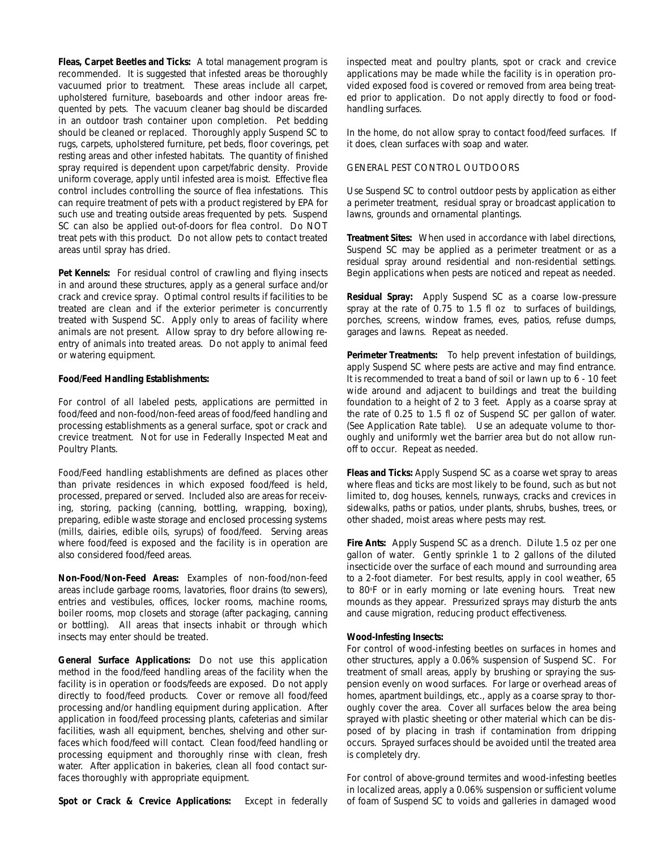*Fleas, Carpet Beetles and Ticks:* A total management program is recommended. It is suggested that infested areas be thoroughly vacuumed prior to treatment. These areas include all carpet, upholstered furniture, baseboards and other indoor areas frequented by pets. The vacuum cleaner bag should be discarded in an outdoor trash container upon completion. Pet bedding should be cleaned or replaced. Thoroughly apply Suspend SC to rugs, carpets, upholstered furniture, pet beds, floor coverings, pet resting areas and other infested habitats. The quantity of finished spray required is dependent upon carpet/fabric density. Provide uniform coverage, apply until infested area is moist. Effective flea control includes controlling the source of flea infestations. This can require treatment of pets with a product registered by EPA for such use and treating outside areas frequented by pets. Suspend SC can also be applied out-of-doors for flea control. Do NOT treat pets with this product. Do not allow pets to contact treated areas until spray has dried.

**Pet Kennels:** For residual control of crawling and flying insects in and around these structures, apply as a general surface and/or crack and crevice spray. Optimal control results if facilities to be treated are clean and if the exterior perimeter is concurrently treated with Suspend SC. Apply only to areas of facility where animals are not present. Allow spray to dry before allowing reentry of animals into treated areas. Do not apply to animal feed or watering equipment.

#### **Food/Feed Handling Establishments:**

For control of all labeled pests, applications are permitted in food/feed and non-food/non-feed areas of food/feed handling and processing establishments as a general surface, spot or crack and crevice treatment. Not for use in Federally Inspected Meat and Poultry Plants.

Food/Feed handling establishments are defined as places other than private residences in which exposed food/feed is held, processed, prepared or served. Included also are areas for receiving, storing, packing (canning, bottling, wrapping, boxing), preparing, edible waste storage and enclosed processing systems (mills, dairies, edible oils, syrups) of food/feed. Serving areas where food/feed is exposed and the facility is in operation are also considered food/feed areas.

**Non-Food/Non-Feed Areas:** Examples of non-food/non-feed areas include garbage rooms, lavatories, floor drains (to sewers), entries and vestibules, offices, locker rooms, machine rooms, boiler rooms, mop closets and storage (after packaging, canning or bottling). All areas that insects inhabit or through which insects may enter should be treated.

**General Surface Applications:** Do not use this application method in the food/feed handling areas of the facility when the facility is in operation or foods/feeds are exposed. Do not apply directly to food/feed products. Cover or remove all food/feed processing and/or handling equipment during application. After application in food/feed processing plants, cafeterias and similar facilities, wash all equipment, benches, shelving and other surfaces which food/feed will contact. Clean food/feed handling or processing equipment and thoroughly rinse with clean, fresh water. After application in bakeries, clean all food contact surfaces thoroughly with appropriate equipment.

**Spot or Crack & Crevice Applications:** Except in federally

inspected meat and poultry plants, spot or crack and crevice applications may be made while the facility is in operation provided exposed food is covered or removed from area being treated prior to application. Do not apply directly to food or foodhandling surfaces.

In the home, do not allow spray to contact food/feed surfaces. If it does, clean surfaces with soap and water.

#### GENERAL PEST CONTROL OUTDOORS

Use Suspend SC to control outdoor pests by application as either a perimeter treatment, residual spray or broadcast application to lawns, grounds and ornamental plantings.

**Treatment Sites:** When used in accordance with label directions, Suspend SC may be applied as a perimeter treatment or as a residual spray around residential and non-residential settings. Begin applications when pests are noticed and repeat as needed.

**Residual Spray:** Apply Suspend SC as a coarse low-pressure spray at the rate of 0.75 to 1.5 fl oz to surfaces of buildings, porches, screens, window frames, eves, patios, refuse dumps, garages and lawns. Repeat as needed.

**Perimeter Treatments:** To help prevent infestation of buildings, apply Suspend SC where pests are active and may find entrance. It is recommended to treat a band of soil or lawn up to 6 - 10 feet wide around and adjacent to buildings and treat the building foundation to a height of 2 to 3 feet. Apply as a coarse spray at the rate of 0.25 to 1.5 fl oz of Suspend SC per gallon of water. (See Application Rate table). Use an adequate volume to thoroughly and uniformly wet the barrier area but do not allow runoff to occur. Repeat as needed.

**Fleas and Ticks:** Apply Suspend SC as a coarse wet spray to areas where fleas and ticks are most likely to be found, such as but not limited to, dog houses, kennels, runways, cracks and crevices in sidewalks, paths or patios, under plants, shrubs, bushes, trees, or other shaded, moist areas where pests may rest.

**Fire Ants:** Apply Suspend SC as a drench. Dilute 1.5 oz per one gallon of water. Gently sprinkle 1 to 2 gallons of the diluted insecticide over the surface of each mound and surrounding area to a 2-foot diameter. For best results, apply in cool weather, 65 to 80°F or in early morning or late evening hours. Treat new mounds as they appear. Pressurized sprays may disturb the ants and cause migration, reducing product effectiveness.

#### **Wood-Infesting Insects:**

For control of wood-infesting beetles on surfaces in homes and other structures, apply a 0.06% suspension of Suspend SC. For treatment of small areas, apply by brushing or spraying the suspension evenly on wood surfaces. For large or overhead areas of homes, apartment buildings, etc., apply as a coarse spray to thoroughly cover the area. Cover all surfaces below the area being sprayed with plastic sheeting or other material which can be disposed of by placing in trash if contamination from dripping occurs. Sprayed surfaces should be avoided until the treated area is completely dry.

For control of above-ground termites and wood-infesting beetles in localized areas, apply a 0.06% suspension or sufficient volume of foam of Suspend SC to voids and galleries in damaged wood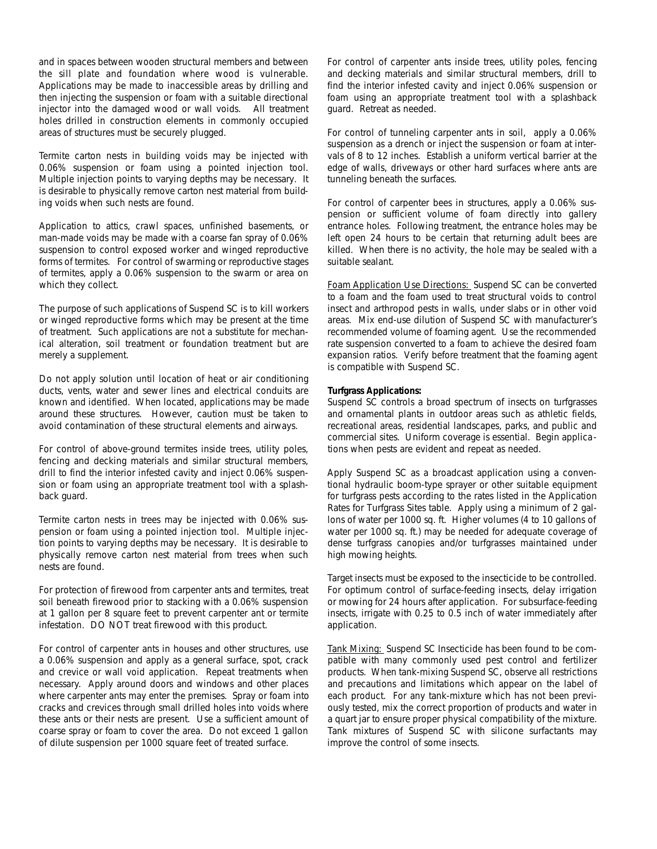and in spaces between wooden structural members and between the sill plate and foundation where wood is vulnerable. Applications may be made to inaccessible areas by drilling and then injecting the suspension or foam with a suitable directional injector into the damaged wood or wall voids. All treatment holes drilled in construction elements in commonly occupied areas of structures must be securely plugged.

Termite carton nests in building voids may be injected with 0.06% suspension or foam using a pointed injection tool. Multiple injection points to varying depths may be necessary. It is desirable to physically remove carton nest material from building voids when such nests are found.

Application to attics, crawl spaces, unfinished basements, or man-made voids may be made with a coarse fan spray of 0.06% suspension to control exposed worker and winged reproductive forms of termites. For control of swarming or reproductive stages of termites, apply a 0.06% suspension to the swarm or area on which they collect.

The purpose of such applications of Suspend SC is to kill workers or winged reproductive forms which may be present at the time of treatment. Such applications are not a substitute for mechanical alteration, soil treatment or foundation treatment but are merely a supplement.

Do not apply solution until location of heat or air conditioning ducts, vents, water and sewer lines and electrical conduits are known and identified. When located, applications may be made around these structures. However, caution must be taken to avoid contamination of these structural elements and airways.

For control of above-ground termites inside trees, utility poles, fencing and decking materials and similar structural members, drill to find the interior infested cavity and inject 0.06% suspension or foam using an appropriate treatment tool with a splashback guard.

Termite carton nests in trees may be injected with 0.06% suspension or foam using a pointed injection tool. Multiple injection points to varying depths may be necessary. It is desirable to physically remove carton nest material from trees when such nests are found.

For protection of firewood from carpenter ants and termites, treat soil beneath firewood prior to stacking with a 0.06% suspension at 1 gallon per 8 square feet to prevent carpenter ant or termite infestation. DO NOT treat firewood with this product.

For control of carpenter ants in houses and other structures, use a 0.06% suspension and apply as a general surface, spot, crack and crevice or wall void application. Repeat treatments when necessary. Apply around doors and windows and other places where carpenter ants may enter the premises. Spray or foam into cracks and crevices through small drilled holes into voids where these ants or their nests are present. Use a sufficient amount of coarse spray or foam to cover the area. Do not exceed 1 gallon of dilute suspension per 1000 square feet of treated surface.

For control of carpenter ants inside trees, utility poles, fencing and decking materials and similar structural members, drill to find the interior infested cavity and inject 0.06% suspension or foam using an appropriate treatment tool with a splashback guard. Retreat as needed.

For control of tunneling carpenter ants in soil, apply a 0.06% suspension as a drench or inject the suspension or foam at intervals of 8 to 12 inches. Establish a uniform vertical barrier at the edge of walls, driveways or other hard surfaces where ants are tunneling beneath the surfaces.

For control of carpenter bees in structures, apply a 0.06% suspension or sufficient volume of foam directly into gallery entrance holes. Following treatment, the entrance holes may be left open 24 hours to be certain that returning adult bees are killed. When there is no activity, the hole may be sealed with a suitable sealant.

Foam Application Use Directions: Suspend SC can be converted to a foam and the foam used to treat structural voids to control insect and arthropod pests in walls, under slabs or in other void areas. Mix end-use dilution of Suspend SC with manufacturer's recommended volume of foaming agent. Use the recommended rate suspension converted to a foam to achieve the desired foam expansion ratios. Verify before treatment that the foaming agent is compatible with Suspend SC.

#### **Turfgrass Applications:**

Suspend SC controls a broad spectrum of insects on turfgrasses and ornamental plants in outdoor areas such as athletic fields, recreational areas, residential landscapes, parks, and public and commercial sites. Uniform coverage is essential. Begin applications when pests are evident and repeat as needed.

Apply Suspend SC as a broadcast application using a conventional hydraulic boom-type sprayer or other suitable equipment for turfgrass pests according to the rates listed in the Application Rates for Turfgrass Sites table. Apply using a minimum of 2 gallons of water per 1000 sq. ft. Higher volumes (4 to 10 gallons of water per 1000 sq. ft.) may be needed for adequate coverage of dense turfgrass canopies and/or turfgrasses maintained under high mowing heights.

Target insects must be exposed to the insecticide to be controlled. For optimum control of surface-feeding insects, delay irrigation or mowing for 24 hours after application. For subsurface-feeding insects, irrigate with 0.25 to 0.5 inch of water immediately after application.

Tank Mixing: Suspend SC Insecticide has been found to be compatible with many commonly used pest control and fertilizer products. When tank-mixing Suspend SC, observe all restrictions and precautions and limitations which appear on the label of each product. For any tank-mixture which has not been previously tested, mix the correct proportion of products and water in a quart jar to ensure proper physical compatibility of the mixture. Tank mixtures of Suspend SC with silicone surfactants may improve the control of some insects.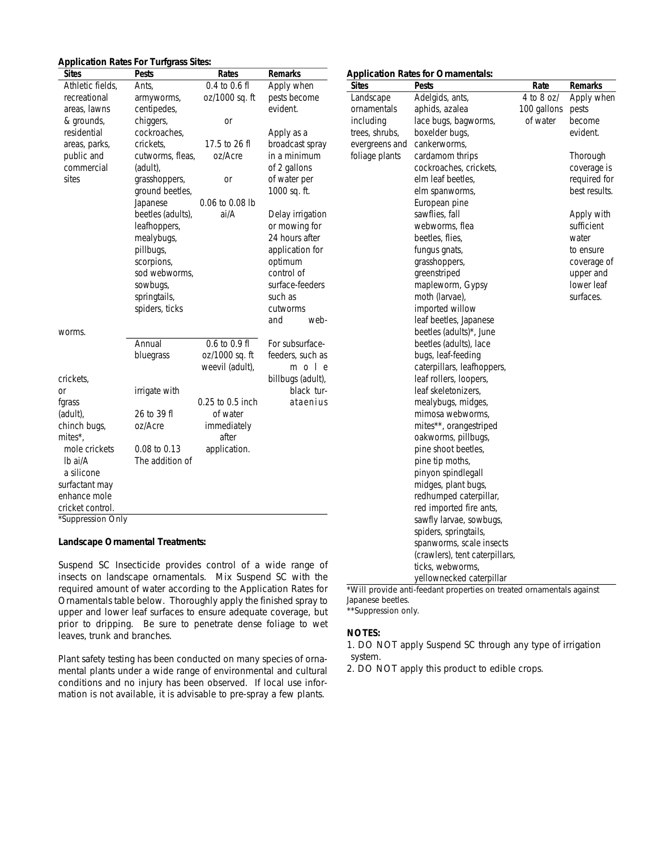| <b>Application Rates For Turfgrass Sites:</b> |                   |                   |                   |                |                                           |             |           |
|-----------------------------------------------|-------------------|-------------------|-------------------|----------------|-------------------------------------------|-------------|-----------|
| <b>Sites</b>                                  | <b>Pests</b>      | Rates             | Remarks           |                | <b>Application Rates for Ornamentals:</b> |             |           |
| Athletic fields,                              | Ants,             | $0.4$ to $0.6$ fl | Apply when        | <b>Sites</b>   | <b>Pests</b>                              | Rate        | Remarks   |
| recreational                                  | armyworms,        | oz/1000 sq. ft    | pests become      | Landscape      | Adelgids, ants,                           | 4 to 8 oz/  | Apply w   |
| areas, lawns                                  | centipedes,       |                   | evident.          | ornamentals    | aphids, azalea                            | 100 gallons | pests     |
| & grounds,                                    | chiggers,         | <b>or</b>         |                   | including      | lace bugs, bagworms,                      | of water    | become    |
| residential                                   | cockroaches,      |                   | Apply as a        | trees, shrubs, | boxelder bugs,                            |             | evident.  |
| areas, parks,                                 | crickets,         | 17.5 to 26 fl     | broadcast spray   | evergreens and | cankerworms,                              |             |           |
| public and                                    | cutworms, fleas,  | oz/Acre           | in a minimum      | foliage plants | cardamom thrips                           |             | Thoroug   |
| commercial                                    | (adult),          |                   | of 2 gallons      |                | cockroaches, crickets,                    |             | coverage  |
| sites                                         | grasshoppers,     | <b>or</b>         | of water per      |                | elm leaf beetles,                         |             | required  |
|                                               | ground beetles,   |                   | 1000 sq. ft.      |                | elm spanworms,                            |             | best resu |
|                                               | Japanese          | 0.06 to 0.08 lb   |                   |                | European pine                             |             |           |
|                                               | beetles (adults), | ai/A              | Delay irrigation  |                | sawflies, fall                            |             | Apply w   |
|                                               | leafhoppers,      |                   | or mowing for     |                | webworms, flea                            |             | sufficien |
|                                               | mealybugs,        |                   | 24 hours after    |                | beetles, flies,                           |             | water     |
|                                               | pillbugs,         |                   | application for   |                | fungus gnats,                             |             | to ensure |
|                                               | scorpions,        |                   | optimum           |                | grasshoppers,                             |             | coverage  |
|                                               | sod webworms,     |                   | control of        |                | greenstriped                              |             | upper ar  |
|                                               | sowbugs,          |                   | surface-feeders   |                | mapleworm, Gypsy                          |             | lower lea |
|                                               | springtails,      |                   | such as           |                | moth (larvae),                            |             | surfaces. |
|                                               | spiders, ticks    |                   | cutworms          |                | imported willow                           |             |           |
|                                               |                   |                   | and<br>web-       |                | leaf beetles, Japanese                    |             |           |
| worms.                                        |                   |                   |                   |                | beetles (adults)*, June                   |             |           |
|                                               | Annual            | $0.6$ to $0.9$ fl | For subsurface-   |                | beetles (adults), lace                    |             |           |
|                                               | bluegrass         | oz/1000 sq. ft    | feeders, such as  |                | bugs, leaf-feeding                        |             |           |
|                                               |                   | weevil (adult),   | mole              |                | caterpillars, leafhoppers,                |             |           |
| crickets,                                     |                   |                   | billbugs (adult), |                | leaf rollers, loopers,                    |             |           |
| or                                            | irrigate with     |                   | black tur-        |                | leaf skeletonizers,                       |             |           |
| fgrass                                        |                   | 0.25 to 0.5 inch  | ataenius          |                | mealybugs, midges,                        |             |           |
| (adult),                                      | 26 to 39 fl       | of water          |                   |                | mimosa webworms,                          |             |           |
| chinch bugs,                                  | oz/Acre           | immediately       |                   |                | mites**, orangestriped                    |             |           |
| mites*,                                       |                   | after             |                   |                | oakworms, pillbugs,                       |             |           |
| mole crickets                                 | 0.08 to 0.13      | application.      |                   |                | pine shoot beetles,                       |             |           |
| Ib ai/A                                       | The addition of   |                   |                   |                | pine tip moths,                           |             |           |
| a silicone                                    |                   |                   |                   |                | pinyon spindlegall                        |             |           |
| surfactant may                                |                   |                   |                   |                | midges, plant bugs,                       |             |           |
| enhance mole                                  |                   |                   |                   |                | redhumped caterpillar,                    |             |           |
| cricket control.                              |                   |                   |                   |                | red imported fire ants,                   |             |           |
| *Suppression Only                             |                   |                   |                   |                | sawfly larvae, sowbugs,                   |             |           |
|                                               |                   |                   |                   |                | sniders springtails                       |             |           |

#### **Landscape Ornamental Treatments:**

Suspend SC Insecticide provides control of a wide range of insects on landscape ornamentals. Mix Suspend SC with the required amount of water according to the Application Rates for Ornamentals table below. Thoroughly apply the finished spray to upper and lower leaf surfaces to ensure adequate coverage, but prior to dripping. Be sure to penetrate dense foliage to wet leaves, trunk and branches.

Plant safety testing has been conducted on many species of ornamental plants under a wide range of environmental and cultural conditions and no injury has been observed. If local use information is not available, it is advisable to pre-spray a few plants.

| ənes           | resis                          | kale        | Remarks       |
|----------------|--------------------------------|-------------|---------------|
| Landscape      | Adelgids, ants,                | 4 to 8 oz/  | Apply when    |
| ornamentals    | aphids, azalea                 | 100 gallons | pests         |
| including      | lace bugs, bagworms,           | of water    | become        |
| trees, shrubs, | boxelder bugs,                 |             | evident.      |
| evergreens and | cankerworms,                   |             |               |
| foliage plants | cardamom thrips                |             | Thorough      |
|                | cockroaches, crickets,         |             | coverage is   |
|                | elm leaf beetles,              |             | required for  |
|                | elm spanworms,                 |             | best results. |
|                | European pine                  |             |               |
|                | sawflies, fall                 |             | Apply with    |
|                | webworms, flea                 |             | sufficient    |
|                | beetles, flies,                |             | water         |
|                | fungus gnats,                  |             | to ensure     |
|                | grasshoppers,                  |             | coverage of   |
|                | greenstriped                   |             | upper and     |
|                | mapleworm, Gypsy               |             | lower leaf    |
|                | moth (larvae),                 |             | surfaces.     |
|                | imported willow                |             |               |
|                | leaf beetles, Japanese         |             |               |
|                | beetles (adults)*, June        |             |               |
|                | beetles (adults), lace         |             |               |
|                | bugs, leaf-feeding             |             |               |
|                | caterpillars, leafhoppers,     |             |               |
|                | leaf rollers, loopers,         |             |               |
|                | leaf skeletonizers,            |             |               |
|                | mealybugs, midges,             |             |               |
|                | mimosa webworms,               |             |               |
|                | mites**, orangestriped         |             |               |
|                | oakworms, pillbugs,            |             |               |
|                | pine shoot beetles,            |             |               |
|                | pine tip moths,                |             |               |
|                | pinyon spindlegall             |             |               |
|                | midges, plant bugs,            |             |               |
|                | redhumped caterpillar,         |             |               |
|                | red imported fire ants,        |             |               |
|                | sawfly larvae, sowbugs,        |             |               |
|                | spiders, springtails,          |             |               |
|                | spanworms, scale insects       |             |               |
|                | (crawlers), tent caterpillars, |             |               |
|                | ticks, webworms,               |             |               |
|                | yellownecked caterpillar       |             |               |
|                |                                |             |               |

\*Will provide anti-feedant properties on treated ornamentals against Japanese beetles.

\*\*Suppression only.

#### **NOTES:**

1. DO NOT apply Suspend SC through any type of irrigation system.

2. DO NOT apply this product to edible crops.